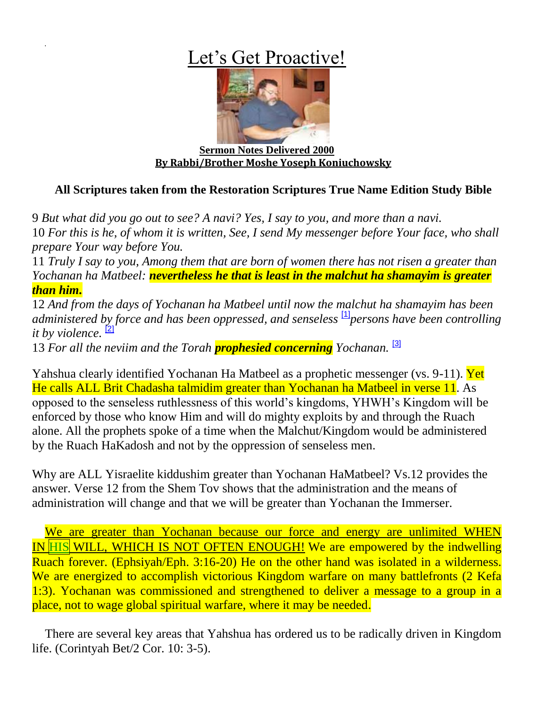## Let's Get Proactive!



**Sermon Notes Delivered 2000 By Rabbi/Brother Moshe Yoseph Koniuchowsky**

## **All Scriptures taken from the Restoration Scriptures True Name Edition Study Bible**

9 *But what did you go out to see? A navi? Yes, I say to you, and more than a navi.* 10 *For this is he, of whom it is written, See, I send My messenger before Your face, who shall prepare Your way before You.*

11 *Truly I say to you, Among them that are born of women there has not risen a greater than Yochanan ha Matbeel: nevertheless he that is least in the malchut ha shamayim is greater than him.*

12 *And from the days of Yochanan ha Matbeel until now the malchut ha shamayim has been administered by force and has been oppressed, and senseless* [\[1\]](http://yourarmstoisrael.org/Articles_new/notes/?page=lets_get#_ftn1)*persons have been controlling it by violence.* [\[2\]](http://yourarmstoisrael.org/Articles_new/notes/?page=lets_get#_ftn2)

13 *For all the neviim and the Torah prophesied concerning Yochanan.* [\[3\]](http://yourarmstoisrael.org/Articles_new/notes/?page=lets_get#_ftn3)

Yahshua clearly identified Yochanan Ha Matbeel as a prophetic messenger (vs. 9-11). Yet He calls ALL Brit Chadasha talmidim greater than Yochanan ha Matbeel in verse 11. As opposed to the senseless ruthlessness of this world's kingdoms, YHWH's Kingdom will be enforced by those who know Him and will do mighty exploits by and through the Ruach alone. All the prophets spoke of a time when the Malchut/Kingdom would be administered by the Ruach HaKadosh and not by the oppression of senseless men.

Why are ALL Yisraelite kiddushim greater than Yochanan HaMatbeel? Vs.12 provides the answer. Verse 12 from the Shem Tov shows that the administration and the means of administration will change and that we will be greater than Yochanan the Immerser.

We are greater than Yochanan because our force and energy are unlimited WHEN IN HIS WILL, WHICH IS NOT OFTEN ENOUGH! We are empowered by the indwelling Ruach forever. (Ephsiyah/Eph. 3:16-20) He on the other hand was isolated in a wilderness. We are energized to accomplish victorious Kingdom warfare on many battlefronts (2 Kefa 1:3). Yochanan was commissioned and strengthened to deliver a message to a group in a place, not to wage global spiritual warfare, where it may be needed.

There are several key areas that Yahshua has ordered us to be radically driven in Kingdom life. (Corintyah Bet/2 Cor. 10: 3-5).